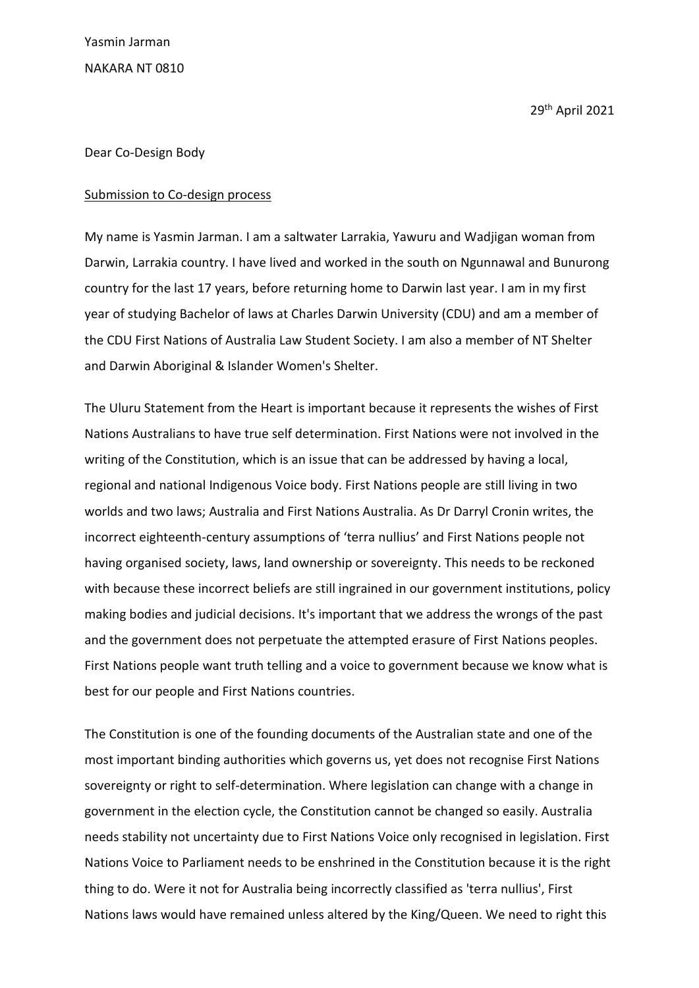Yasmin Jarman NAKARA NT 0810

29th April 2021

## Dear Co-Design Body

## Submission to Co-design process

My name is Yasmin Jarman. I am a saltwater Larrakia, Yawuru and Wadjigan woman from Darwin, Larrakia country. I have lived and worked in the south on Ngunnawal and Bunurong country for the last 17 years, before returning home to Darwin last year. I am in my first year of studying Bachelor of laws at Charles Darwin University (CDU) and am a member of the CDU First Nations of Australia Law Student Society. I am also a member of NT Shelter and Darwin Aboriginal & Islander Women's Shelter.

The Uluru Statement from the Heart is important because it represents the wishes of First Nations Australians to have true self determination. First Nations were not involved in the writing of the Constitution, which is an issue that can be addressed by having a local, regional and national Indigenous Voice body. First Nations people are still living in two worlds and two laws; Australia and First Nations Australia. As Dr Darryl Cronin writes, the incorrect eighteenth-century assumptions of 'terra nullius' and First Nations people not having organised society, laws, land ownership or sovereignty. This needs to be reckoned with because these incorrect beliefs are still ingrained in our government institutions, policy making bodies and judicial decisions. It's important that we address the wrongs of the past and the government does not perpetuate the attempted erasure of First Nations peoples. First Nations people want truth telling and a voice to government because we know what is best for our people and First Nations countries.

The Constitution is one of the founding documents of the Australian state and one of the most important binding authorities which governs us, yet does not recognise First Nations sovereignty or right to self-determination. Where legislation can change with a change in government in the election cycle, the Constitution cannot be changed so easily. Australia needs stability not uncertainty due to First Nations Voice only recognised in legislation. First Nations Voice to Parliament needs to be enshrined in the Constitution because it is the right thing to do. Were it not for Australia being incorrectly classified as 'terra nullius', First Nations laws would have remained unless altered by the King/Queen. We need to right this